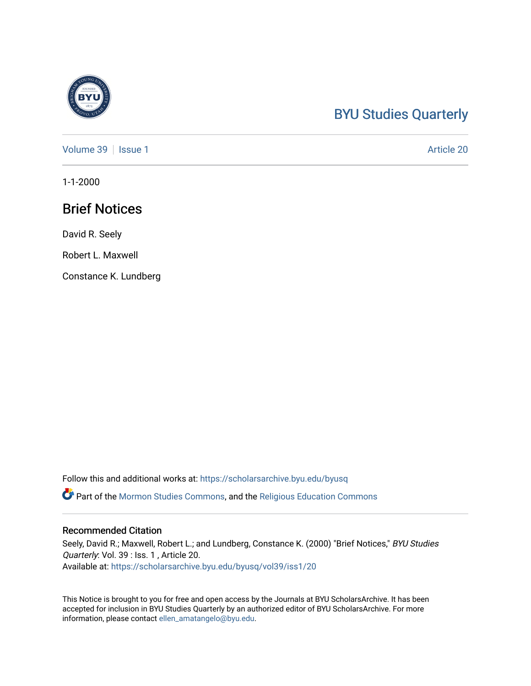## [BYU Studies Quarterly](https://scholarsarchive.byu.edu/byusq)

[Volume 39](https://scholarsarchive.byu.edu/byusq/vol39) | [Issue 1](https://scholarsarchive.byu.edu/byusq/vol39/iss1) Article 20

1-1-2000

### Brief Notices

David R. Seely

Robert L. Maxwell

Constance K. Lundberg

Follow this and additional works at: [https://scholarsarchive.byu.edu/byusq](https://scholarsarchive.byu.edu/byusq?utm_source=scholarsarchive.byu.edu%2Fbyusq%2Fvol39%2Fiss1%2F20&utm_medium=PDF&utm_campaign=PDFCoverPages) 

Part of the [Mormon Studies Commons](http://network.bepress.com/hgg/discipline/1360?utm_source=scholarsarchive.byu.edu%2Fbyusq%2Fvol39%2Fiss1%2F20&utm_medium=PDF&utm_campaign=PDFCoverPages), and the [Religious Education Commons](http://network.bepress.com/hgg/discipline/1414?utm_source=scholarsarchive.byu.edu%2Fbyusq%2Fvol39%2Fiss1%2F20&utm_medium=PDF&utm_campaign=PDFCoverPages) 

#### Recommended Citation

Seely, David R.; Maxwell, Robert L.; and Lundberg, Constance K. (2000) "Brief Notices," BYU Studies Quarterly: Vol. 39 : Iss. 1, Article 20. Available at: [https://scholarsarchive.byu.edu/byusq/vol39/iss1/20](https://scholarsarchive.byu.edu/byusq/vol39/iss1/20?utm_source=scholarsarchive.byu.edu%2Fbyusq%2Fvol39%2Fiss1%2F20&utm_medium=PDF&utm_campaign=PDFCoverPages) 

This Notice is brought to you for free and open access by the Journals at BYU ScholarsArchive. It has been accepted for inclusion in BYU Studies Quarterly by an authorized editor of BYU ScholarsArchive. For more information, please contact [ellen\\_amatangelo@byu.edu.](mailto:ellen_amatangelo@byu.edu)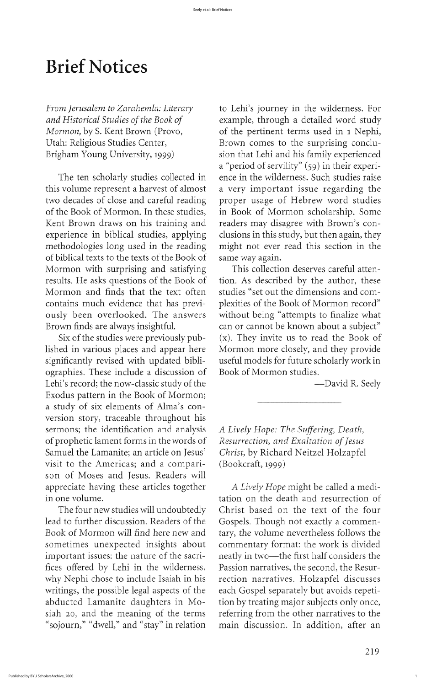From Jerusalem to Zarahemla: Literary to Lehi's journey in the wilderness. For and Historical Studies of the Book of example, through a detailed word study of the pertinent terms used in 1 Nephi, Utah: Religious Studies Center, Brown comes to the surprising conclu-Brigham Young University, 1999) sion that Lehi and his family experienced a "period of servility" (59) in their experi-The ten scholarly studies collected in ence in the wilderness. Such studies raise this volume represent a harvest of almost a very important issue regarding the two decades of close and careful reading proper usage of Hebrew word studies of the Book of Mormon. In these studies, in Book of Mormon scholarship. Some Kent Brown draws on his training and readers may disagree with Brown's conexperience in biblical studies, applying clusions in this study, but then again, they methodologies long used in the reading might not ever read this section in the

plexities of the Book of Mormon record" without being "attempts to finalize what Brown finds are always insightful. The can or cannot be known about a subject"  $(x)$ . They invite us to read the Book of Mormon more closely, and they provide useful models for future scholarly work in

 $(Bookcraft, 1999)$ 

in one volume.  $\qquad \qquad$  tation on the death and resurrection of Gospels. Though not exactly a commen-Book of Mormon will find here new and tary, the volume nevertheless follows the neatly in two—the first half considers the Passion narratives, the second, the Resurtion by treating major subjects only once, referring from the other narratives to the "sojourn," "dwell," and "stay" in relation main discussion. In addition, after an

219

1

# **Brief Notices**

Mormon, by S. Kent Brown (Provo,

of biblical texts to the texts of the Book of same way again. Mormon with surprising and satisfying This collection deserves careful attenresults. He asks questions of the Book of tion. As described by the author, these Mormon and finds that the text often studies "set out the dimensions and comcontains much evidence that has previously been overlooked. The answers

Six of the studies were previously published in various places and appear here significantly revised with updated bibliographies. These include a discussion of Book of Mormon studies Lehi's record; the now-classic study of the  $-$ David R. Seely Exodus pattern in the Book of Mormon; a study of six elements of Alma's conversion story, traceable throughout his sermons; the identification and analysis A Lively Hope: The Suffering, Death, of prophetic lament forms in the words of Resurrection, and Exaltation of Jesus Samuel the Lamanite; an article on Jesus' Christ, by Richard Neitzel Holzapfel visit to the Americas; and a comparison of Moses and Jesus. Readers will appreciate having these articles together A Lively Hope might be called a medi-The four new studies will undoubtedly Christ based on the text of the four<br>lead to further discussion. Readers of the Gospels. Though not exactly a commensometimes unexpected insights about commentary format: the work is divided important issues: the nature of the sacrifices offered by Lehi in the wilderness, why Nephi chose to include Isaiah in his rection narratives. Holzapfel discusses writings, the possible legal aspects of the each Gospel separately but avoids repetiabducted Lamanite daughters in Mosiah 20, and the meaning of the terms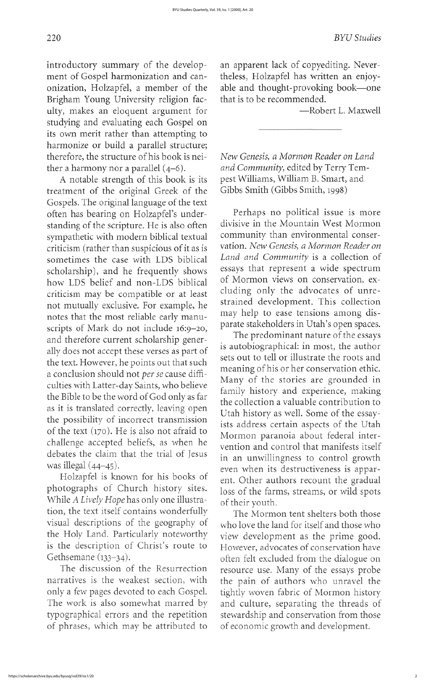eluding only the advocates of unrestrained development. This collection

meaning of his or her conservation ethic the collection a valuable contribution to loss of the farms, streams, or wild spots view development as the prime good. thsemane (133–34).<br>The discussion of the Resurrection resource use. Many of the essays probe resource use. Many of the essays probe tightly woven fabric of Mormon history

ment of Gospel harmonization and can-<br>theless, Holzapfel has written an enjoyonization, Holzapfel, a member of the able and thought-provoking book—one Brigham Young University religion fac-<br>that is to be recommended. ulty, makes an eloquent argument for The Maxwell — Robert L. Maxwell studying and evaluating each gospel on its own merit rather than attempting to harmonize or build a parallel structure therefore, the structure of his book is nei-<br>New Genesis, a Mormon Reader on Land

A notable strength of this book is its pest Williams, William B. Smart, and treatment of the original Greek of the Gibbs Smith (Gibbs Smith, 1998) Gospels. The original language of the text often has bearing on Holzapfel's under-<br>Standing of the scripture. He is also often adivisive in the Mountain West Mormon standing of the scripture. He is also often divisive in the Mountain West Mormon<br>sympathetic with modern biblical textual community than environmental consersympathetic with modern biblical textual community than environmental conser-<br>criticism (rather than suspicious of it as is vation. New Genesis, a Mormon Reader on criticism (rather than suspicious of it as is sometimes the case with LDS biblical Land and Community is a collection of<br>scholarship), and he frequently shows essays that represent a wide spectrum scholarship), and he frequently shows essays that represent a wide spectrum<br>how LDS helief and non-LDS biblical of Mormon views on conservation, exhow LDS belief and non-LDS biblical criticism may be compatible or at least not mutually exclusive. For example, he may help to ease tensions among dis-<br>notes that the most reliable early manu-<br>parate stakeholders in Utah's open spaces. scripts of Mark do not include 16:9–20, parate stakeholders in Utah s open spaces.<br>and therefore current scholarship gener-<br>details and therefore current scholarship generally does not accept these verses as part of  $\frac{1}{2}$  is autobiographical: in most, the author ally does not accept these verses as part of sets out to tell or illustrate the roots and the text. However, he points out that such a conclusion should not *per se* cause difficulties with Latter-day Saints, who believe Many of the stories are grounded in family history and experience, making the Bible to be the word of God only as far the collection a valueble contribution to as it is translated correctly, leaving open<br>the possibility of incorrect transmission<br>of the text (170). He is also not afraid to<br>Mormon paranoia about federal interchallenge accepted beliefs, as when he<br>debates the claim that the trial of Jesus<br>in an unwillingness to control growth debates the claim that the trial of jesus in an unwillingness to control growth was illegal (44–45). was illegal (44-45).<br>Holzapfel is known for his books of ent. Other authors recount the gradual<br>photographs of Church history sites. loss of the farms streams or wild spots While A Lively Hope has only one illustra- of their youth. tion, the text itself contains wonderfully The Mormon tent shelters both those visual descriptions of the geography of who love the land for itself and those who the Holy Land. Particularly noteworthy view development as the prime good. is the description of Christ's route to However, advocates of conservation have<br>Gethsemane (133–34).<br>often felt excluded from the dialogue on narratives is the weakest section, with the pain of authors who unravel the<br>only a few pages devoted to each Gospel. tightly woven fabric of Mormon history The work is also somewhat marred by and culture, separating the threads of typographical errors and the repetition stewardship and conservation from those of phrases, which may be attributed to of economic growth and development.

introductory summary of the develop- an apparent lack of copyediting. Never-

ther a harmony nor a parallel  $(4-6)$ . and Community, edited by Terry Tem-